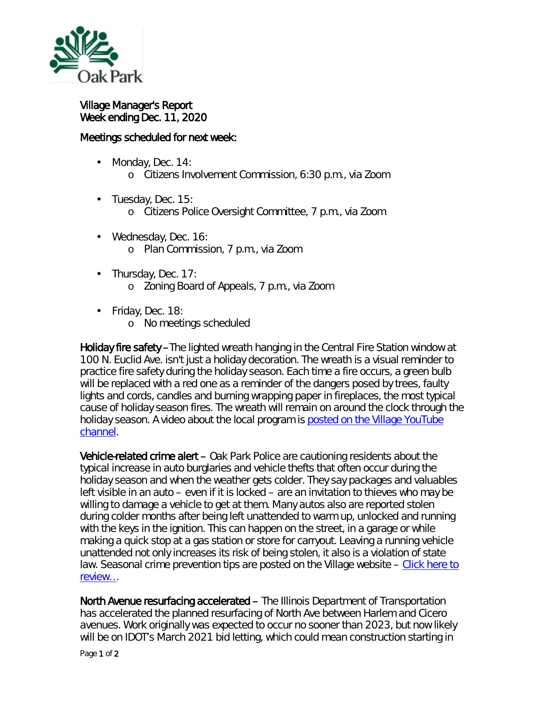

Village Manager's Report Week ending Dec. 11, 2020

## Meetings scheduled for next week:

- Monday, Dec. 14: ä, o Citizens Involvement Commission, 6:30 p.m., via Zoom
- $\cdot$  Tuesday, Dec. 15:
	- o Citizens Police Oversight Committee, 7 p.m., via Zoom
- Wednesday, Dec. 16: o Plan Commission, 7 p.m., via Zoom
- $\cdot$  Thursday, Dec. 17: o Zoning Board of Appeals, 7 p.m., via Zoom
- $\cdot$  Friday, Dec. 18:
	- o No meetings scheduled

Holiday fire safety –The lighted wreath hanging in the Central Fire Station window at 100 N. Euclid Ave. isn't just a holiday decoration. The wreath is a visual reminder to practice fire safety during the holiday season. Each time a fire occurs, a green bulb will be replaced with a red one as a reminder of the dangers posed by trees, faulty lights and cords, candles and burning wrapping paper in fireplaces, the most typical cause of holiday season fires. The wreath will remain on around the clock through the holiday season. A video about the local program is posted on the Village YouTube [channel.](http://r20.rs6.net/tn.jsp?t=p46zeebbb.0.0.qdcllmmab.0&id=preview&r=3&p=https%3A%2F%2Fyoutu.be%2FQ7_9XewmXk8)

Vehicle-related crime alert – Oak Park Police are cautioning residents about the typical increase in auto burglaries and vehicle thefts that often occur during the holiday season and when the weather gets colder. They say packages and valuables left visible in an auto – even if it is locked – are an invitation to thieves who may be willing to damage a vehicle to get at them. Many autos also are reported stolen during colder months after being left unattended to warm up, unlocked and running with the keys in the ignition. This can happen on the street, in a garage or while making a quick stop at a gas station or store for carryout. Leaving a running vehicle unattended not only increases its risk of being stolen, it also is a violation of state law. Seasonal crime prevention tips are posted on the Village website – Click here to [review…](https://www.oak-park.us/news/police-offer-seasonal-crime-tips-2)

North Avenue resurfacing accelerated – The Illinois Department of Transportation has accelerated the planned resurfacing of North Ave between Harlem and Cicero avenues. Work originally was expected to occur no sooner than 2023, but now likely will be on IDOT's March 2021 bid letting, which could mean construction starting in